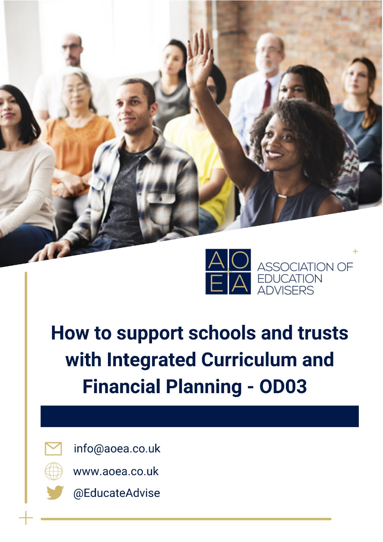

# How to support schools and trusts with Integrated Curriculum and **Financial Planning - OD03**



info@aoea.co.uk



www.aoea.co.uk



@EducateAdvise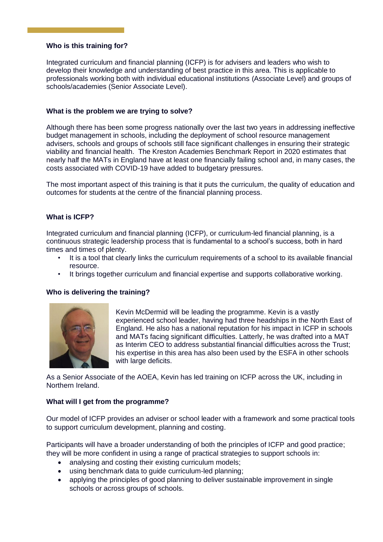# **Who is this training for?**

Integrated curriculum and financial planning (ICFP) is for advisers and leaders who wish to develop their knowledge and understanding of best practice in this area. This is applicable to professionals working both with individual educational institutions (Associate Level) and groups of schools/academies (Senior Associate Level).

# **What is the problem we are trying to solve?**

Although there has been some progress nationally over the last two years in addressing ineffective budget management in schools, including the deployment of school resource management advisers, schools and groups of schools still face significant challenges in ensuring their strategic viability and financial health. The Kreston Academies Benchmark Report in 2020 estimates that nearly half the MATs in England have at least one financially failing school and, in many cases, the costs associated with COVID-19 have added to budgetary pressures.

The most important aspect of this training is that it puts the curriculum, the quality of education and outcomes for students at the centre of the financial planning process.

## **What is ICFP?**

Integrated curriculum and financial planning (ICFP), or curriculum-led financial planning, is a continuous strategic leadership process that is fundamental to a school's success, both in hard times and times of plenty.

- It is a tool that clearly links the curriculum requirements of a school to its available financial resource.
- It brings together curriculum and financial expertise and supports collaborative working.

### **Who is delivering the training?**



Kevin McDermid will be leading the programme. Kevin is a vastly experienced school leader, having had three headships in the North East of England. He also has a national reputation for his impact in ICFP in schools and MATs facing significant difficulties. Latterly, he was drafted into a MAT as Interim CEO to address substantial financial difficulties across the Trust; his expertise in this area has also been used by the ESFA in other schools with large deficits.

As a Senior Associate of the AOEA, Kevin has led training on ICFP across the UK, including in Northern Ireland.

#### **What will I get from the programme?**

Our model of ICFP provides an adviser or school leader with a framework and some practical tools to support curriculum development, planning and costing.

Participants will have a broader understanding of both the principles of ICFP and good practice; they will be more confident in using a range of practical strategies to support schools in:

- analysing and costing their existing curriculum models:
- using benchmark data to guide curriculum-led planning;
- applying the principles of good planning to deliver sustainable improvement in single schools or across groups of schools.